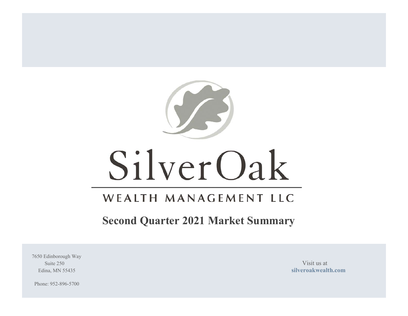

# WEALTH MANAGEMENT LLC

# **Second Quarter 2021 Market Summary**

7650 Edinborough Way Suite 250 Visit us at  $\overline{a}$  Visit us at  $\overline{a}$ 

Edina, MN 55435 **silveroakwealth.com**

Phone: 952-896-5700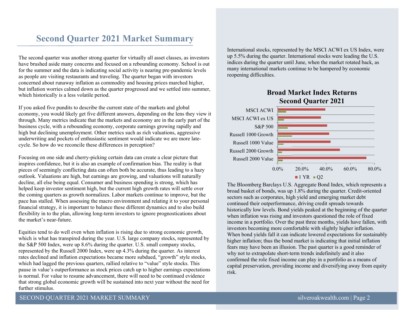# **Second Quarter 2021 Market Summary**

The second quarter was another strong quarter for virtually all asset classes, as investors have brushed aside many concerns and focused on a rebounding economy. School is out for the summer and the data is indicating social activity is nearing pre-pandemic levels as people are visiting restaurants and traveling. The quarter began with investors concerned about runaway inflation as commodity and housing prices marched higher, but inflation worries calmed down as the quarter progressed and we settled into summer, which historically is a less volatile period.

If you asked five pundits to describe the current state of the markets and global economy, you would likely get five different answers, depending on the lens they view it through. Many metrics indicate that the markets and economy are in the early part of the business cycle, with a rebounding economy, corporate earnings growing rapidly and high but declining unemployment. Other metrics such as rich valuations, aggressive underwriting and pockets of enthusiastic sentiment would indicate we are more latecycle. So how do we reconcile these differences in perception?

Focusing on one side and cherry-picking certain data can create a clear picture that inspires confidence, but it is also an example of confirmation bias. The reality is that pieces of seemingly conflicting data can often both be accurate, thus leading to a hazy outlook. Valuations are high, but earnings are growing, and valuations will naturally decline, all else being equal. Consumer and business spending is strong, which has helped keep investor sentiment high, but the current high growth rates will settle over the coming quarters as growth normalizes. Labor markets continue to improve, but the pace has stalled. When assessing the macro environment and relating it to your personal financial strategy, it is important to balance these different dynamics and to also build flexibility in to the plan, allowing long-term investors to ignore prognostications about the market's near-future.

Equities tend to do well even when inflation is rising due to strong economic growth, which is what has transpired during the year. U.S. large company stocks, represented by the S&P 500 Index, were up 8.6% during the quarter. U.S. small company stocks, represented by the Russell 2000 Index, were up 4.3% during the quarter. As interest rates declined and inflation expectations became more subdued, "growth" style stocks, which had lagged the previous quarters, rallied relative to "value" style stocks. This pause in value's outperformance as stock prices catch up to higher earnings expectations is normal. For value to resume advancement, there will need to be continued evidence that strong global economic growth will be sustained into next year without the need for further stimulus.

International stocks, represented by the MSCI ACWI ex US Index, were up 5.5% during the quarter. International stocks were leading the U.S. indices during the quarter until June, when the market rotated back, as many international markets continue to be hampered by economic reopening difficulties.

## **Broad Market Index ReturnsSecond Quarter 2021**



The Bloomberg Barclays U.S. Aggregate Bond Index, which represents a broad basket of bonds, was up 1.8% during the quarter. Credit-oriented sectors such as corporates, high yield and emerging market debt continued their outperformance, driving credit spreads towards historically low levels. Bond yields peaked at the beginning of the quarter when inflation was rising and investors questioned the role of fixed income in a portfolio. Over the past three months, yields have fallen, with investors becoming more comfortable with slightly higher inflation. When bond yields fall it can indicate lowered expectations for sustainably higher inflation; thus the bond market is indicating that initial inflation fears may have been an illusion. The past quarter is a good reminder of why not to extrapolate short-term trends indefinitely and it also confirmed the role fixed income can play in a portfolio as a means of capital preservation, providing income and diversifying away from equity risk.

### SECOND QUARTER 2021 MARKET SUMMARY silveroakwealth.com | Page 2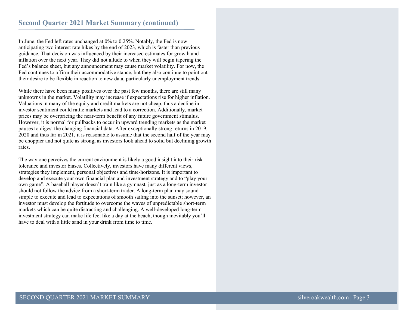In June, the Fed left rates unchanged at 0% to 0.25%. Notably, the Fed is now anticipating two interest rate hikes by the end of 2023, which is faster than previous guidance. That decision was influenced by their increased estimates for growth and inflation over the next year. They did not allude to when they will begin tapering the Fed's balance sheet, but any announcement may cause market volatility. For now, the Fed continues to affirm their accommodative stance, but they also continue to point out their desire to be flexible in reaction to new data, particularly unemployment trends.

While there have been many positives over the past few months, there are still many unknowns in the market. Volatility may increase if expectations rise for higher inflation. Valuations in many of the equity and credit markets are not cheap, thus a decline in investor sentiment could rattle markets and lead to a correction. Additionally, market prices may be overpricing the near-term benefit of any future government stimulus. However, it is normal for pullbacks to occur in upward trending markets as the market pauses to digest the changing financial data. After exceptionally strong returns in 2019, 2020 and thus far in 2021, it is reasonable to assume that the second half of the year may be choppier and not quite as strong, as investors look ahead to solid but declining growth rates.

The way one perceives the current environment is likely a good insight into their risk tolerance and investor biases. Collectively, investors have many different views, strategies they implement, personal objectives and time-horizons. It is important to develop and execute your own financial plan and investment strategy and to "play your own game". A baseball player doesn't train like a gymnast, just as a long-term investor should not follow the advice from a short-term trader. A long-term plan may sound simple to execute and lead to expectations of smooth sailing into the sunset; however, an investor must develop the fortitude to overcome the waves of unpredictable short-term markets which can be quite distracting and challenging. A well-developed long-term investment strategy can make life feel like a day at the beach, though inevitably you'll have to deal with a little sand in your drink from time to time.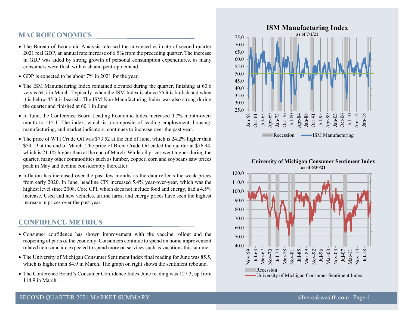## **MACROECONOMICS**

- The Bureau of Economic Analysis released the advanced estimate of second quarter 2021 real GDP, an annual rate increase of 6.5% from the preceding quarter. The increase in GDP was aided by strong growth of personal consumption expenditures, as many consumers were flush with cash and pent-up demand.
- GDP is expected to be about 7% in 2021 for the year.
- The ISM Manufacturing Index remained elevated during the quarter, finishing at 60.6 versus 64.7 in March. Typically, when the ISM Index is above 55 it is bullish and when it is below 45 it is bearish. The ISM Non-Manufacturing Index was also strong during the quarter and finished at 60.1 in June.
- In June, the Conference Board Leading Economic Index increased 0.7% month-overmonth to 115.1. The index, which is a composite of leading employment, housing, manufacturing, and market indicators, continues to increase over the past year.
- The price of WTI Crude Oil was \$73.52 at the end of June, which is 24.2% higher than \$59.19 at the end of March. The price of Brent Crude Oil ended the quarter at \$76.94, which is 21.1% higher than at the end of March. While oil prices went higher during the quarter, many other commodities such as lumber, copper, corn and soybeans saw prices peak in May and decline considerably thereafter.
- Inflation has increased over the past few months as the data reflects the weak prices from early 2020. In June, headline CPI increased 5.4% year-over-year, which was the highest level since 2008. Core CPI, which does not include food and energy, had a 4.5% increase. Used and new vehicles, airline fares, and energy prices have seen the highest increase in prices over the past year.

## **CONFIDENCE METRICS**

- Consumer confidence has shown improvement with the vaccine rollout and the reopening of parts of the economy. Consumers continue to spend on home improvement related items and are expected to spend more on services such as vacations this summer.
- The University of Michigan Consumer Sentiment Index final reading for June was 85.5, which is higher than 84.9 in March. The graph on right shows the sentiment rebound.
- The Conference Board's Consumer Confidence Index June reading was 127.3, up from 114.9 in March.



#### **University of Michigan Consumer Sentiment Index as of 6/30/21**

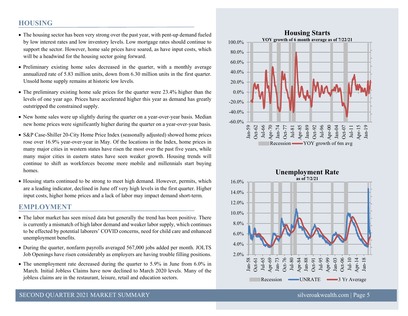## **HOUSING**

- The housing sector has been very strong over the past year, with pent-up demand fueled by low interest rates and low inventory levels. Low mortgage rates should continue to support the sector. However, home sale prices have soared, as have input costs, which will be a headwind for the housing sector going forward.
- Preliminary existing home sales decreased in the quarter, with a monthly average annualized rate of 5.83 million units, down from 6.30 million units in the first quarter. Unsold home supply remains at historic low levels.
- The preliminary existing home sale prices for the quarter were 23.4% higher than the levels of one year ago. Prices have accelerated higher this year as demand has greatly outstripped the constrained supply.
- New home sales were up slightly during the quarter on a year-over-year basis. Median new home prices were significantly higher during the quarter on a year-over-year basis.
- S&P Case-Shiller 20-City Home Price Index (seasonally adjusted) showed home prices rose over 16.9% year-over-year in May. Of the locations in the Index, home prices in many major cities in western states have risen the most over the past five years, while many major cities in eastern states have seen weaker growth. Housing trends will continue to shift as workforces become more mobile and millennials start buying homes.
- Housing starts continued to be strong to meet high demand. However, permits, which are a leading indicator, declined in June off very high levels in the first quarter. Higher input costs, higher home prices and a lack of labor may impact demand short-term.

## **EMPLOYMENT**

- The labor market has seen mixed data but generally the trend has been positive. There is currently a mismatch of high labor demand and weaker labor supply, which continues to be effected by potential laborers' COVID concerns, need for child care and enhanced unemployment benefits.
- During the quarter, nonfarm payrolls averaged 567,000 jobs added per month. JOLTS Job Openings have risen considerably as employers are having trouble filling positions.
- The unemployment rate decreased during the quarter to 5.9% in June from 6.0% in March. Initial Jobless Claims have now declined to March 2020 levels. Many of the jobless claims are in the restaurant, leisure, retail and education sectors.



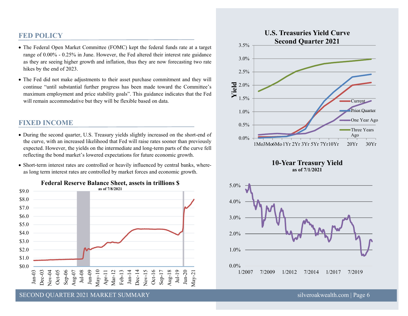## **FED POLICY**

- The Federal Open Market Committee (FOMC) kept the federal funds rate at a target range of 0.00% - 0.25% in June. However, the Fed altered their interest rate guidance as they are seeing higher growth and inflation, thus they are now forecasting two rate hikes by the end of 2023.
- The Fed did not make adjustments to their asset purchase commitment and they will continue "until substantial further progress has been made toward the Committee's maximum employment and price stability goals". This guidance indicates that the Fed will remain accommodative but they will be flexible based on data.

## **FIXED INCOME**

- During the second quarter, U.S. Treasury yields slightly increased on the short-end of the curve, with an increased likelihood that Fed will raise rates sooner than previously expected. However, the yields on the intermediate and long-term parts of the curve fell reflecting the bond market's lowered expectations for future economic growth.
- Short-term interest rates are controlled or heavily influenced by central banks, whereas long term interest rates are controlled by market forces and economic growth.









es<br>SECOND QUARTER 2021 MARKET SUMMARY silveroakwealth.com | Page 6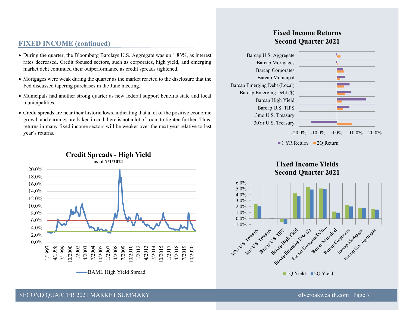## **FIXED INCOME (continued)**

- During the quarter, the Bloomberg Barclays U.S. Aggregate was up 1.83%, as interest rates decreased. Credit focused sectors, such as corporates, high yield, and emerging market debt continued their outperformance as credit spreads tightened.
- Mortgages were weak during the quarter as the market reacted to the disclosure that the Fed discussed tapering purchases in the June meeting.
- Municipals had another strong quarter as new federal support benefits state and local municipalities.
- Credit spreads are near their historic lows, indicating that a lot of the positive economic growth and earnings are baked in and there is not a lot of room to tighten further. Thus, returns in many fixed income sectors will be weaker over the next year relative to last year's returns.



# **Credit Spreads - High Yield**

## **Fixed Income ReturnsSecond Quarter 2021**



1 YR Return 2Q Return

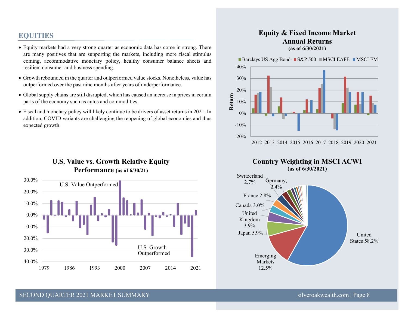## **EQUITIES**

- Equity markets had a very strong quarter as economic data has come in strong. There are many positives that are supporting the markets, including more fiscal stimulus coming, accommodative monetary policy, healthy consumer balance sheets and resilient consumer and business spending.
- Growth rebounded in the quarter and outperformed value stocks. Nonetheless, value has outperformed over the past nine months after years of underperformance.
- Global supply chains are still disrupted, which has caused an increase in prices in certain parts of the economy such as autos and commodities.
- Fiscal and monetary policy will likely continue to be drivers of asset returns in 2021. In addition, COVID variants are challenging the reopening of global economies and thus expected growth.

## **U.S. Value vs. Growth Relative Equity Performance (as of 6/30/21)**



## **Equity & Fixed Income Market Annual Returns (as of 6/30/2021)**

Barclays US Agg Bond  $\blacksquare$  S&P 500  $\blacksquare$  MSCI EAFE  $\blacksquare$  MSCI EM





### SECOND QUARTER 2021 MARKET SUMMARY silveroakwealth.com | Page 8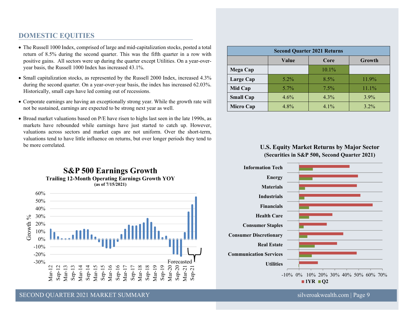## **DOMESTIC EQUITIES**

- The Russell 1000 Index, comprised of large and mid-capitalization stocks, posted a total return of 8.5% during the second quarter. This was the fifth quarter in a row with positive gains. All sectors were up during the quarter except Utilities. On a year-overyear basis, the Russell 1000 Index has increased 43.1%.
- Small capitalization stocks, as represented by the Russell 2000 Index, increased 4.3% during the second quarter. On a year-over-year basis, the index has increased 62.03%. Historically, small caps have led coming out of recessions.
- Corporate earnings are having an exceptionally strong year. While the growth rate will not be sustained, earnings are expected to be strong next year as well.
- Broad market valuations based on P/E have risen to highs last seen in the late 1990s, as markets have rebounded while earnings have just started to catch up. However, valuations across sectors and market caps are not uniform. Over the short-term, valuations tend to have little influence on returns, but over longer periods they tend to be more correlated.

**S&P 500 Earnings Growth**



| <b>Second Quarter 2021 Returns</b> |         |         |          |
|------------------------------------|---------|---------|----------|
|                                    | Value   | Core    | Growth   |
| Mega Cap                           |         | 10.1%   |          |
| Large Cap                          | $5.2\%$ | $8.5\%$ | $11.9\%$ |
| Mid Cap                            | $5.7\%$ | $7.5\%$ | $11.1\%$ |
| <b>Small Cap</b>                   | 4.6%    | 4.3%    | $3.9\%$  |
| <b>Micro Cap</b>                   | 4.8%    | $4.1\%$ | $3.2\%$  |

## **U.S. Equity Market Returns by Major Sector (Securities in S&P 500, Second Quarter 2021)**

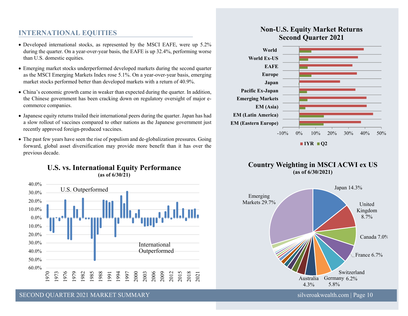## **INTERNATIONAL EQUITIES**

- Developed international stocks, as represented by the MSCI EAFE, were up 5.2% during the quarter. On a year-over-year basis, the EAFE is up 32.4%, performing worse than U.S. domestic equities.
- Emerging market stocks underperformed developed markets during the second quarter as the MSCI Emerging Markets Index rose 5.1%. On a year-over-year basis, emerging market stocks performed better than developed markets with a return of 40.9%.
- China's economic growth came in weaker than expected during the quarter. In addition, the Chinese government has been cracking down on regulatory oversight of major ecommerce companies.
- Japanese equity returns trailed their international peers during the quarter. Japan has had a slow rollout of vaccines compared to other nations as the Japanese government just recently approved foreign-produced vaccines.
- The past few years have seen the rise of populism and de-globalization pressures. Going forward, global asset diversification may provide more benefit than it has over the previous decade.



## **U.S. vs. International Equity Performance (as of 6/30/21)**

## **Non-U.S. Equity Market Returns Second Quarter 2021**



## **Country Weighting in MSCI ACWI ex US (as of 6/30/2021)**



SECOND QUARTER 2021 MARKET SUMMARY SILVER AND SILVER SILVER SILVER SILVER SILVER SILVER SILVER SILVER SILVER SILVER SILVER SILVER SILVER SILVER SILVER SILVER SILVER SILVER SILVER SILVER SILVER SILVER SILVER SILVER SILVER S